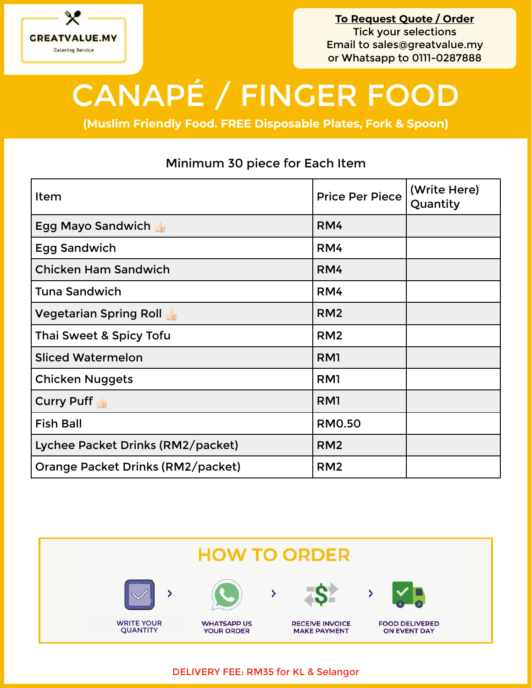

**To Request Quote / Order** Tick your selections Email to [sales@greatvalue.my](mailto:sales@greatvalue.my) or Whatsapp to 0111-0287888

## CANAPÉ / FINGER FOOD

**(Muslim Friendly Food. FREE Disposable Plates, Fork & Spoon)**

## Minimum 30 piece for Each Item

| Item                              | <b>Price Per Piece</b> | (Write Here)<br>Quantity |
|-----------------------------------|------------------------|--------------------------|
| Egg Mayo Sandwich                 | RM4                    |                          |
| <b>Egg Sandwich</b>               | RM4                    |                          |
| <b>Chicken Ham Sandwich</b>       | RM4                    |                          |
| Tuna Sandwich                     | RM4                    |                          |
| <b>Vegetarian Spring Roll</b>     | RM <sub>2</sub>        |                          |
| Thai Sweet & Spicy Tofu           | RM <sub>2</sub>        |                          |
| <b>Sliced Watermelon</b>          | RM <sub>1</sub>        |                          |
| <b>Chicken Nuggets</b>            | RM1                    |                          |
| <b>Curry Puff</b>                 | RM <sub>1</sub>        |                          |
| <b>Fish Ball</b>                  | <b>RM0.50</b>          |                          |
| Lychee Packet Drinks (RM2/packet) | RM <sub>2</sub>        |                          |
| Orange Packet Drinks (RM2/packet) | RM <sub>2</sub>        |                          |



DELIVERY FEE: RM35 for KL & Selangor